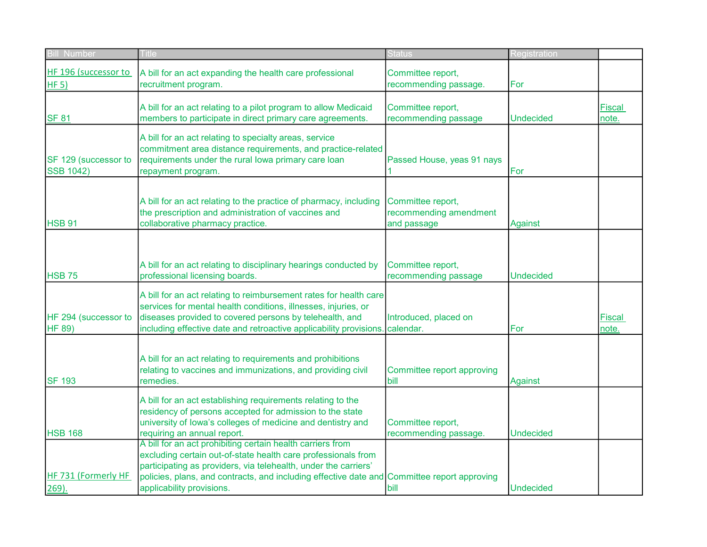| <b>Bill Number</b>                       | Title                                                                                                                                                                                                                                                                                                                      | Status                                                     | Registration     |                        |
|------------------------------------------|----------------------------------------------------------------------------------------------------------------------------------------------------------------------------------------------------------------------------------------------------------------------------------------------------------------------------|------------------------------------------------------------|------------------|------------------------|
| HF 196 (successor to<br>HF(5)            | A bill for an act expanding the health care professional<br>recruitment program.                                                                                                                                                                                                                                           | Committee report,<br>recommending passage.                 | For              |                        |
| <b>SF 81</b>                             | A bill for an act relating to a pilot program to allow Medicaid<br>members to participate in direct primary care agreements.                                                                                                                                                                                               | Committee report,<br>recommending passage                  | <b>Undecided</b> | <b>Fiscal</b><br>note. |
| SF 129 (successor to<br><b>SSB 1042)</b> | A bill for an act relating to specialty areas, service<br>commitment area distance requirements, and practice-related<br>requirements under the rural lowa primary care loan<br>repayment program.                                                                                                                         | Passed House, yeas 91 nays                                 | For              |                        |
| <b>HSB 91</b>                            | A bill for an act relating to the practice of pharmacy, including<br>the prescription and administration of vaccines and<br>collaborative pharmacy practice.                                                                                                                                                               | Committee report,<br>recommending amendment<br>and passage | <b>Against</b>   |                        |
| <b>HSB 75</b>                            | A bill for an act relating to disciplinary hearings conducted by<br>professional licensing boards.                                                                                                                                                                                                                         | Committee report,<br>recommending passage                  | <b>Undecided</b> |                        |
| HF 294 (successor to<br><b>HF 89)</b>    | A bill for an act relating to reimbursement rates for health care<br>services for mental health conditions, illnesses, injuries, or<br>diseases provided to covered persons by telehealth, and<br>including effective date and retroactive applicability provisions                                                        | Introduced, placed on<br>calendar.                         | For              | <b>Fiscal</b><br>note. |
| <b>SF 193</b>                            | A bill for an act relating to requirements and prohibitions<br>relating to vaccines and immunizations, and providing civil<br>remedies.                                                                                                                                                                                    | Committee report approving<br>bill                         | Against          |                        |
| <b>HSB 168</b>                           | A bill for an act establishing requirements relating to the<br>residency of persons accepted for admission to the state<br>university of lowa's colleges of medicine and dentistry and<br>requiring an annual report.                                                                                                      | Committee report,<br>recommending passage.                 | <b>Undecided</b> |                        |
| HF 731 (Formerly HF<br>$269$ ).          | A bill for an act prohibiting certain health carriers from<br>excluding certain out-of-state health care professionals from<br>participating as providers, via telehealth, under the carriers'<br>policies, plans, and contracts, and including effective date and Committee report approving<br>applicability provisions. | bill                                                       | <b>Undecided</b> |                        |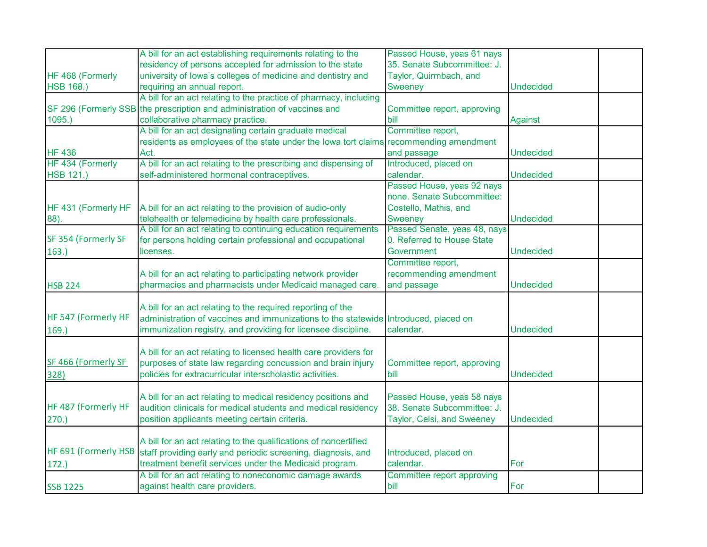|                      | A bill for an act establishing requirements relating to the                           | Passed House, yeas 61 nays   |                  |  |
|----------------------|---------------------------------------------------------------------------------------|------------------------------|------------------|--|
|                      | residency of persons accepted for admission to the state                              | 35. Senate Subcommittee: J.  |                  |  |
| HF 468 (Formerly     | university of lowa's colleges of medicine and dentistry and                           | Taylor, Quirmbach, and       |                  |  |
| <b>HSB 168.)</b>     | requiring an annual report.                                                           | Sweeney                      | <b>Undecided</b> |  |
|                      | A bill for an act relating to the practice of pharmacy, including                     |                              |                  |  |
|                      | SF 296 (Formerly SSB the prescription and administration of vaccines and              | Committee report, approving  |                  |  |
| 1095.                | collaborative pharmacy practice.                                                      | bill                         | <b>Against</b>   |  |
|                      | A bill for an act designating certain graduate medical                                | Committee report,            |                  |  |
|                      | residents as employees of the state under the lowa tort claims recommending amendment |                              |                  |  |
| <b>HF 436</b>        | Act.                                                                                  | and passage                  | <b>Undecided</b> |  |
| HF 434 (Formerly     | A bill for an act relating to the prescribing and dispensing of                       | Introduced, placed on        |                  |  |
| <b>HSB 121.)</b>     | self-administered hormonal contraceptives.                                            | calendar.                    | <b>Undecided</b> |  |
|                      |                                                                                       | Passed House, yeas 92 nays   |                  |  |
|                      |                                                                                       | none. Senate Subcommittee:   |                  |  |
| HF 431 (Formerly HF  | A bill for an act relating to the provision of audio-only                             | Costello, Mathis, and        |                  |  |
| 88).                 | telehealth or telemedicine by health care professionals.                              | Sweeney                      | <b>Undecided</b> |  |
|                      | A bill for an act relating to continuing education requirements                       | Passed Senate, yeas 48, nays |                  |  |
| SF 354 (Formerly SF  | for persons holding certain professional and occupational                             | 0. Referred to House State   |                  |  |
| 163.                 | licenses.                                                                             | Government                   | <b>Undecided</b> |  |
|                      |                                                                                       | Committee report,            |                  |  |
|                      | A bill for an act relating to participating network provider                          | recommending amendment       |                  |  |
| <b>HSB 224</b>       | pharmacies and pharmacists under Medicaid managed care.                               | and passage                  | <b>Undecided</b> |  |
|                      |                                                                                       |                              |                  |  |
|                      | A bill for an act relating to the required reporting of the                           |                              |                  |  |
| HF 547 (Formerly HF  | administration of vaccines and immunizations to the statewide Introduced, placed on   |                              |                  |  |
| 169.                 | immunization registry, and providing for licensee discipline.                         | calendar.                    | <b>Undecided</b> |  |
|                      |                                                                                       |                              |                  |  |
|                      | A bill for an act relating to licensed health care providers for                      |                              |                  |  |
| SF 466 (Formerly SF  | purposes of state law regarding concussion and brain injury                           | Committee report, approving  |                  |  |
| 328)                 | policies for extracurricular interscholastic activities.                              | bill                         | <b>Undecided</b> |  |
|                      |                                                                                       |                              |                  |  |
|                      | A bill for an act relating to medical residency positions and                         | Passed House, yeas 58 nays   |                  |  |
| HF 487 (Formerly HF  | audition clinicals for medical students and medical residency                         | 38. Senate Subcommittee: J.  |                  |  |
| (270.)               | position applicants meeting certain criteria.                                         | Taylor, Celsi, and Sweeney   | <b>Undecided</b> |  |
|                      |                                                                                       |                              |                  |  |
|                      | A bill for an act relating to the qualifications of noncertified                      |                              |                  |  |
| HF 691 (Formerly HSB | staff providing early and periodic screening, diagnosis, and                          | Introduced, placed on        |                  |  |
| 172.                 | treatment benefit services under the Medicaid program.                                | calendar.                    | For              |  |
|                      | A bill for an act relating to noneconomic damage awards                               | Committee report approving   |                  |  |
| <b>SSB 1225</b>      | against health care providers.                                                        | bill                         | For              |  |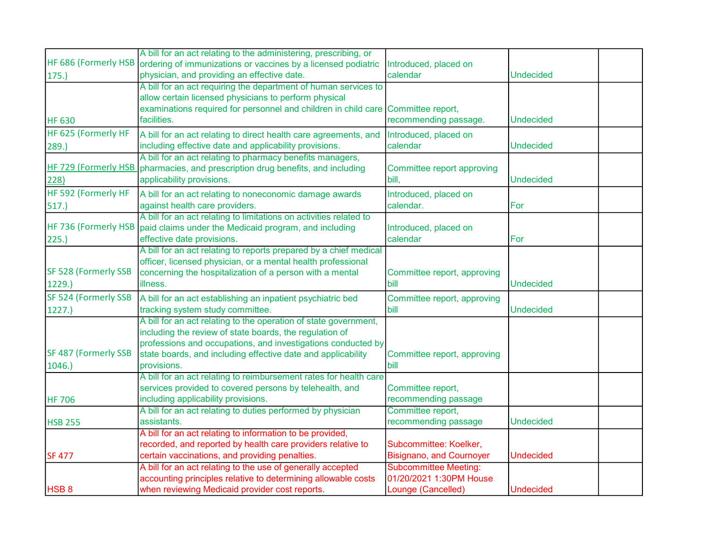|                      | A bill for an act relating to the administering, prescribing, or               |                                 |                  |  |
|----------------------|--------------------------------------------------------------------------------|---------------------------------|------------------|--|
| HF 686 (Formerly HSB | ordering of immunizations or vaccines by a licensed podiatric                  | Introduced, placed on           |                  |  |
| 175.                 | physician, and providing an effective date.                                    | calendar                        | <b>Undecided</b> |  |
|                      | A bill for an act requiring the department of human services to                |                                 |                  |  |
|                      | allow certain licensed physicians to perform physical                          |                                 |                  |  |
|                      | examinations required for personnel and children in child care                 | Committee report,               |                  |  |
| <b>HF 630</b>        | facilities.                                                                    | recommending passage.           | <b>Undecided</b> |  |
| HF 625 (Formerly HF  | A bill for an act relating to direct health care agreements, and               | Introduced, placed on           |                  |  |
| 289.                 | including effective date and applicability provisions.                         | calendar                        | <b>Undecided</b> |  |
|                      | A bill for an act relating to pharmacy benefits managers,                      |                                 |                  |  |
|                      | HF 729 (Formerly HSB pharmacies, and prescription drug benefits, and including | Committee report approving      |                  |  |
| 228)                 | applicability provisions.                                                      | bill,                           | <b>Undecided</b> |  |
| HF 592 (Formerly HF  | A bill for an act relating to noneconomic damage awards                        | Introduced, placed on           |                  |  |
| 517.                 | against health care providers.                                                 | calendar.                       | For              |  |
|                      | A bill for an act relating to limitations on activities related to             |                                 |                  |  |
| HF 736 (Formerly HSB | paid claims under the Medicaid program, and including                          | Introduced, placed on           |                  |  |
| 225.                 | effective date provisions.                                                     | calendar                        | For              |  |
|                      | A bill for an act relating to reports prepared by a chief medical              |                                 |                  |  |
|                      | officer, licensed physician, or a mental health professional                   |                                 |                  |  |
| SF 528 (Formerly SSB | concerning the hospitalization of a person with a mental                       | Committee report, approving     |                  |  |
| 1229.                | illness.                                                                       | bill                            | <b>Undecided</b> |  |
| SF 524 (Formerly SSB | A bill for an act establishing an inpatient psychiatric bed                    | Committee report, approving     |                  |  |
| 1227.                | tracking system study committee.                                               | bill                            | <b>Undecided</b> |  |
|                      | A bill for an act relating to the operation of state government,               |                                 |                  |  |
|                      | including the review of state boards, the regulation of                        |                                 |                  |  |
|                      | professions and occupations, and investigations conducted by                   |                                 |                  |  |
| SF 487 (Formerly SSB | state boards, and including effective date and applicability                   | Committee report, approving     |                  |  |
| 1046.)               | provisions.                                                                    | bill                            |                  |  |
|                      | A bill for an act relating to reimbursement rates for health care              |                                 |                  |  |
|                      | services provided to covered persons by telehealth, and                        | Committee report,               |                  |  |
| <b>HF 706</b>        | including applicability provisions.                                            | recommending passage            |                  |  |
|                      | A bill for an act relating to duties performed by physician                    | Committee report,               |                  |  |
| <b>HSB 255</b>       | assistants.                                                                    | recommending passage            | <b>Undecided</b> |  |
|                      | A bill for an act relating to information to be provided,                      |                                 |                  |  |
|                      | recorded, and reported by health care providers relative to                    | Subcommittee: Koelker,          |                  |  |
| <b>SF 477</b>        | certain vaccinations, and providing penalties.                                 | <b>Bisignano, and Cournoyer</b> | <b>Undecided</b> |  |
|                      | A bill for an act relating to the use of generally accepted                    | <b>Subcommittee Meeting:</b>    |                  |  |
|                      | accounting principles relative to determining allowable costs                  | 01/20/2021 1:30PM House         |                  |  |
| <b>HSB8</b>          | when reviewing Medicaid provider cost reports.                                 | Lounge (Cancelled)              | <b>Undecided</b> |  |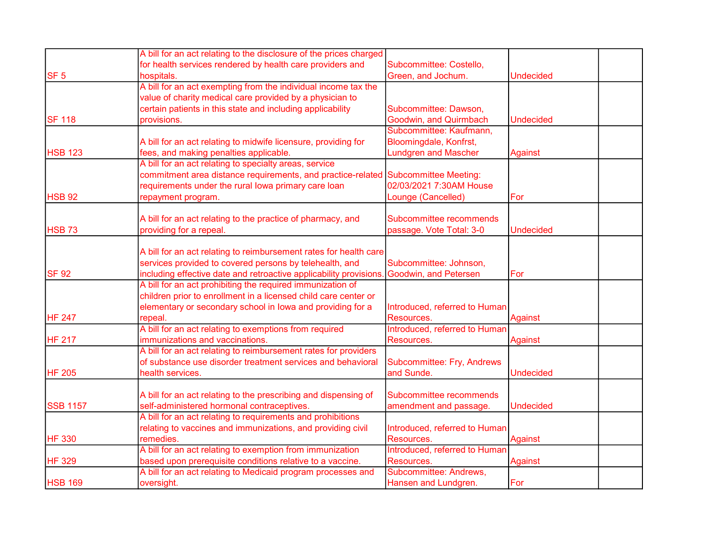|                 | A bill for an act relating to the disclosure of the prices charged |                               |                  |  |
|-----------------|--------------------------------------------------------------------|-------------------------------|------------------|--|
|                 | for health services rendered by health care providers and          | Subcommittee: Costello,       |                  |  |
| SF <sub>5</sub> | hospitals.                                                         | Green, and Jochum.            | <b>Undecided</b> |  |
|                 | A bill for an act exempting from the individual income tax the     |                               |                  |  |
|                 | value of charity medical care provided by a physician to           |                               |                  |  |
|                 | certain patients in this state and including applicability         | Subcommittee: Dawson,         |                  |  |
| <b>SF 118</b>   | provisions.                                                        | Goodwin, and Quirmbach        | <b>Undecided</b> |  |
|                 |                                                                    | Subcommittee: Kaufmann,       |                  |  |
|                 | A bill for an act relating to midwife licensure, providing for     | Bloomingdale, Konfrst,        |                  |  |
| <b>HSB 123</b>  | fees, and making penalties applicable.                             | <b>Lundgren and Mascher</b>   | Against          |  |
|                 | A bill for an act relating to specialty areas, service             |                               |                  |  |
|                 | commitment area distance requirements, and practice-related        | <b>Subcommittee Meeting:</b>  |                  |  |
|                 | requirements under the rural lowa primary care loan                | 02/03/2021 7:30AM House       |                  |  |
| <b>HSB 92</b>   | repayment program.                                                 | Lounge (Cancelled)            | For              |  |
|                 |                                                                    |                               |                  |  |
|                 | A bill for an act relating to the practice of pharmacy, and        | Subcommittee recommends       |                  |  |
| <b>HSB 73</b>   | providing for a repeal.                                            | passage. Vote Total: 3-0      | <b>Undecided</b> |  |
|                 |                                                                    |                               |                  |  |
|                 | A bill for an act relating to reimbursement rates for health care  |                               |                  |  |
|                 | services provided to covered persons by telehealth, and            | Subcommittee: Johnson,        |                  |  |
| <b>SF 92</b>    | including effective date and retroactive applicability provisions  | Goodwin, and Petersen         | For              |  |
|                 | A bill for an act prohibiting the required immunization of         |                               |                  |  |
|                 | children prior to enrollment in a licensed child care center or    |                               |                  |  |
|                 | elementary or secondary school in lowa and providing for a         | Introduced, referred to Human |                  |  |
| <b>HF 247</b>   | repeal.                                                            | Resources.                    | Against          |  |
|                 | A bill for an act relating to exemptions from required             | Introduced, referred to Human |                  |  |
| <b>HF 217</b>   | immunizations and vaccinations.                                    | Resources.                    | Against          |  |
|                 | A bill for an act relating to reimbursement rates for providers    |                               |                  |  |
|                 | of substance use disorder treatment services and behavioral        | Subcommittee: Fry, Andrews    |                  |  |
| <b>HF 205</b>   | health services.                                                   | and Sunde.                    | <b>Undecided</b> |  |
|                 |                                                                    |                               |                  |  |
|                 | A bill for an act relating to the prescribing and dispensing of    | Subcommittee recommends       |                  |  |
| <b>SSB 1157</b> | self-administered hormonal contraceptives.                         | amendment and passage.        | <b>Undecided</b> |  |
|                 | A bill for an act relating to requirements and prohibitions        |                               |                  |  |
|                 | relating to vaccines and immunizations, and providing civil        | Introduced, referred to Human |                  |  |
| <b>HF 330</b>   | remedies.                                                          | Resources.                    | Against          |  |
|                 | A bill for an act relating to exemption from immunization          | Introduced, referred to Human |                  |  |
| <b>HF 329</b>   | based upon prerequisite conditions relative to a vaccine.          | Resources.                    | Against          |  |
|                 | A bill for an act relating to Medicaid program processes and       | Subcommittee: Andrews,        |                  |  |
| <b>HSB 169</b>  | oversight.                                                         | Hansen and Lundgren.          | For              |  |